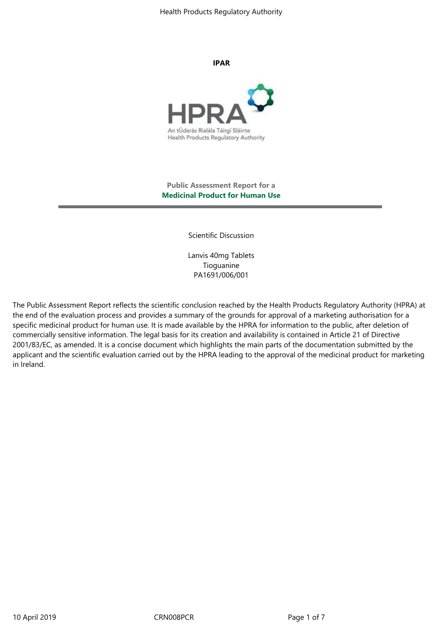**IPAR** 



## **Public Assessment Report for a Medicinal Product for Human Use**

Scientific Discussion

Lanvis 40mg Tablets Tioguanine PA1691/006/001

The Public Assessment Report reflects the scientific conclusion reached by the Health Products Regulatory Authority (HPRA) at the end of the evaluation process and provides a summary of the grounds for approval of a marketing authorisation for a specific medicinal product for human use. It is made available by the HPRA for information to the public, after deletion of commercially sensitive information. The legal basis for its creation and availability is contained in Article 21 of Directive 2001/83/EC, as amended. It is a concise document which highlights the main parts of the documentation submitted by the applicant and the scientific evaluation carried out by the HPRA leading to the approval of the medicinal product for marketing in Ireland.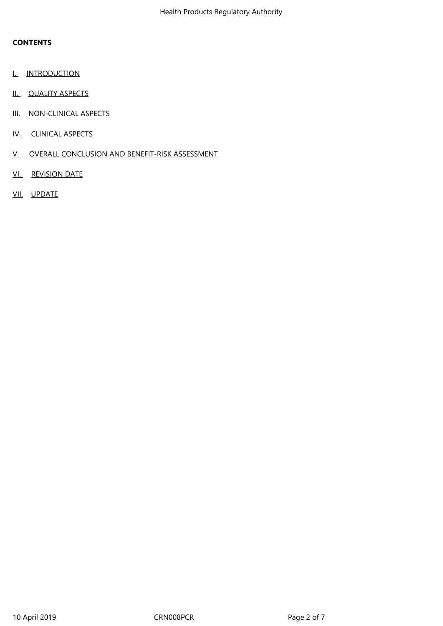## **CONTENTS**

- I. INTRODUCTION
- II. QUALITY ASPECTS
- III. NON-CLINICAL ASPECTS
- IV. CLINICAL ASPECTS
- V. OVERALL CONCLUSION AND BENEFIT-RISK ASSESSMENT
- VI. REVISION DATE
- VII. UPDATE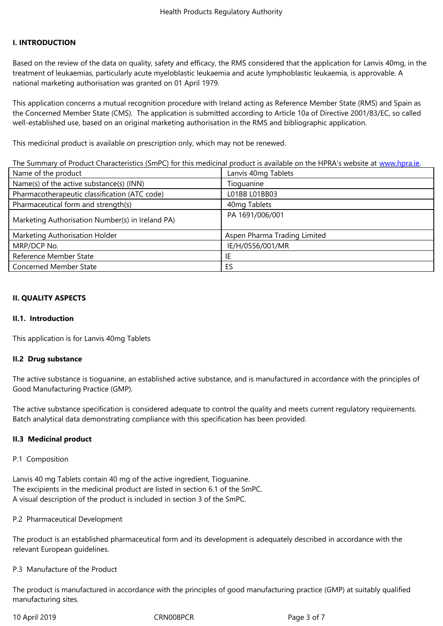### **I. INTRODUCTION**

Based on the review of the data on quality, safety and efficacy, the RMS considered that the application for Lanvis 40mg, in the treatment of leukaemias, particularly acute myeloblastic leukaemia and acute lymphoblastic leukaemia, is approvable. A national marketing authorisation was granted on 01 April 1979.

This application concerns a mutual recognition procedure with Ireland acting as Reference Member State (RMS) and Spain as the Concerned Member State (CMS). The application is submitted according to Article 10a of Directive 2001/83/EC, so called well-established use, based on an original marketing authorisation in the RMS and bibliographic application.

This medicinal product is available on prescription only, which may not be renewed.

The Summary of Product Characteristics (SmPC) for this medicinal product is available on the HPRA's website at www.hpra.ie.

| Name of the product                              | Lanvis 40mg Tablets          |
|--------------------------------------------------|------------------------------|
| Name(s) of the active substance(s) (INN)         | Tioguanine                   |
| Pharmacotherapeutic classification (ATC code)    | L01BB L01BB03                |
| Pharmaceutical form and strength(s)              | 40mg Tablets                 |
| Marketing Authorisation Number(s) in Ireland PA) | PA 1691/006/001              |
| Marketing Authorisation Holder                   | Aspen Pharma Trading Limited |
| MRP/DCP No.                                      | IE/H/0556/001/MR             |
| Reference Member State                           | IE                           |
| Concerned Member State                           | ES                           |

#### **II. QUALITY ASPECTS**

#### **II.1.** Introduction

This application is for Lanvis 40mg Tablets

### II.2 Drug substance

The active substance is tioquanine, an established active substance, and is manufactured in accordance with the principles of Good Manufacturing Practice (GMP).

The active substance specification is considered adequate to control the quality and meets current regulatory requirements. Batch analytical data demonstrating compliance with this specification has been provided.

### **II.3 Medicinal product**

#### P.1 Composition

Lanvis 40 mg Tablets contain 40 mg of the active ingredient, Tioguanine. The excipients in the medicinal product are listed in section 6.1 of the SmPC. A visual description of the product is included in section 3 of the SmPC.

#### P.2 Pharmaceutical Development

The product is an established pharmaceutical form and its development is adequately described in accordance with the relevant European quidelines.

#### P.3 Manufacture of the Product

The product is manufactured in accordance with the principles of good manufacturing practice (GMP) at suitably qualified manufacturing sites.

10 April 2019

CRN008PCR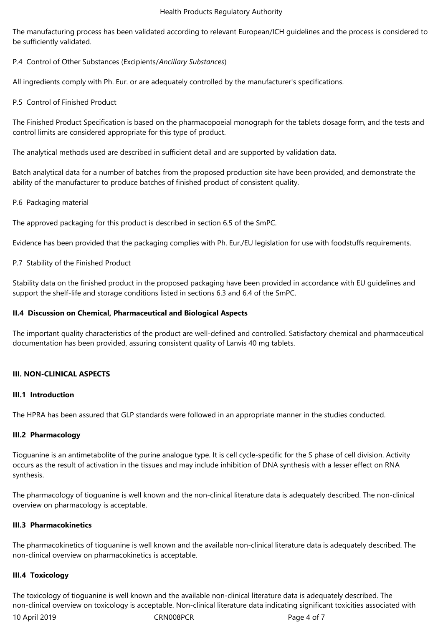The manufacturing process has been validated according to relevant European/ICH guidelines and the process is considered to be sufficiently validated.

P.4 Control of Other Substances (Excipients/*Ancillary Substances*)

All ingredients comply with Ph. Eur. or are adequately controlled by the manufacturer's specifications.

P.5 Control of Finished Product

The Finished Product Specification is based on the pharmacopoeial monograph for the tablets dosage form, and the tests and control limits are considered appropriate for this type of product.

The analytical methods used are described in sufficient detail and are supported by validation data.

Batch analytical data for a number of batches from the proposed production site have been provided, and demonstrate the ability of the manufacturer to produce batches of finished product of consistent quality.

## P.6 Packaging material

The approved packaging for this product is described in section 6.5 of the SmPC.

Evidence has been provided that the packaging complies with Ph. Eur./EU legislation for use with foodstuffs requirements.

P.7 Stability of the Finished Product

Stability data on the finished product in the proposed packaging have been provided in accordance with EU guidelines and support the shelf-life and storage conditions listed in sections 6.3 and 6.4 of the SmPC.

## **II.4 Discussion on Chemical, Pharmaceutical and Biological Aspects**

The important quality characteristics of the product are well-defined and controlled. Satisfactory chemical and pharmaceutical documentation has been provided, assuring consistent quality of Lanvis 40 mg tablets.

# **III. NON-CLINICAL ASPECTS**

## **III.1 Introduction**

The HPRA has been assured that GLP standards were followed in an appropriate manner in the studies conducted.

# **III.2 Pharmacology**

Tioguanine is an antimetabolite of the purine analogue type. It is cell cycle-specific for the S phase of cell division. Activity occurs as the result of activation in the tissues and may include inhibition of DNA synthesis with a lesser effect on RNA synthesis.

The pharmacology of tioguanine is well known and the non-clinical literature data is adequately described. The non-clinical overview on pharmacology is acceptable.

### **III.3 Pharmacokinetics**

The pharmacokinetics of tioguanine is well known and the available non-clinical literature data is adequately described. The non-clinical overview on pharmacokinetics is acceptable.

### **III.4 Toxicology**

10April2019 CRN008PCR Page4of7 The toxicology of tioguanine is well known and the available non-clinical literature data is adequately described. The non-clinical overview on toxicology is acceptable. Non-clinical literature data indicating significant toxicities associated with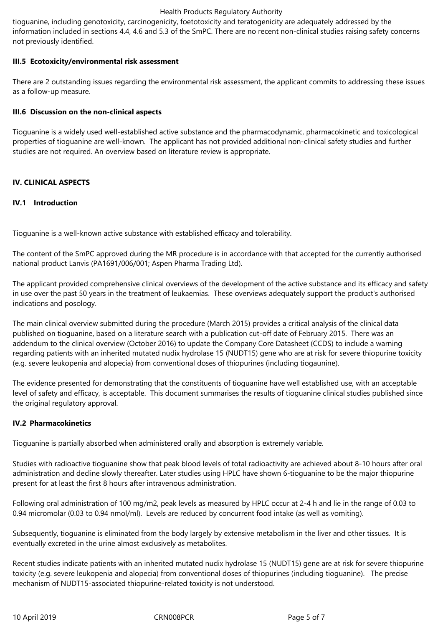tioguanine, including genotoxicity, carcinogenicity, foetotoxicity and teratogenicity are adequately addressed by the information included in sections 4.4, 4.6 and 5.3 of the SmPC. There are no recent non-clinical studies raising safety concerns not previously identified.

## **III.5 Ecotoxicity/environmental risk assessment**

There are 2 outstanding issues regarding the environmental risk assessment, the applicant commits to addressing these issues as a follow-up measure.

## **III.6 Discussion on the non-clinical aspects**

Tioguanine is a widely used well-established active substance and the pharmacodynamic, pharmacokinetic and toxicological properties of tioguanine are well-known. The applicant has not provided additional non-clinical safety studies and further studies are not required. An overview based on literature review is appropriate.

## **IV. CLINICAL ASPECTS**

## **IV.1 Introduction**

Tioguanine is a well-known active substance with established efficacy and tolerability.

The content of the SmPC approved during the MR procedure is in accordance with that accepted for the currently authorised national product Lanvis (PA1691/006/001; Aspen Pharma Trading Ltd).

The applicant provided comprehensive clinical overviews of the development of the active substance and its efficacy and safety in use over the past 50 years in the treatment of leukaemias. These overviews adequately support the product's authorised indications and posology.

The main clinical overview submitted during the procedure (March 2015) provides a critical analysis of the clinical data published on tioguanine, based on a literature search with a publication cut-off date of February 2015. There was an addendum to the clinical overview (October 2016) to update the Company Core Datasheet (CCDS) to include a warning regarding patients with an inherited mutated nudix hydrolase 15 (NUDT15) gene who are at risk for severe thiopurine toxicity (e.g. severe leukopenia and alopecia) from conventional doses of thiopurines (including tiogaunine).

The evidence presented for demonstrating that the constituents of tioguanine have well established use, with an acceptable level of safety and efficacy, is acceptable. This document summarises the results of tioguanine clinical studies published since the original regulatory approval.

### **IV.2 Pharmacokinetics**

Tioguanine is partially absorbed when administered orally and absorption is extremely variable.

Studies with radioactive tioguanine show that peak blood levels of total radioactivity are achieved about 8-10 hours after oral administration and decline slowly thereafter. Later studies using HPLC have shown 6-tioguanine to be the major thiopurine present for at least the first 8 hours after intravenous administration.

Following oral administration of 100 mg/m2, peak levels as measured by HPLC occur at 2-4 h and lie in the range of 0.03 to 0.94 micromolar (0.03 to 0.94 nmol/ml). Levels are reduced by concurrent food intake (as well as vomiting).

Subsequently, tioguanine is eliminated from the body largely by extensive metabolism in the liver and other tissues. It is eventually excreted in the urine almost exclusively as metabolites.

Recent studies indicate patients with an inherited mutated nudix hydrolase 15 (NUDT15) gene are at risk for severe thiopurine toxicity (e.g. severe leukopenia and alopecia) from conventional doses of thiopurines (including tioguanine). The precise mechanism of NUDT15-associated thiopurine-related toxicity is not understood.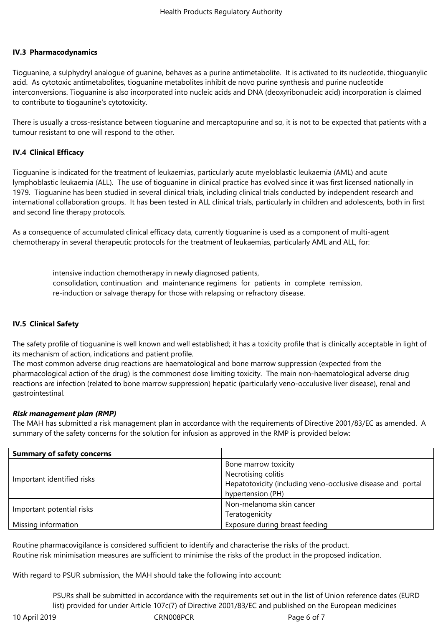## **IV.3 Pharmacodynamics**

Tioguanine, a sulphydryl analogue of quanine, behaves as a purine antimetabolite. It is activated to its nucleotide, thioguanylic acid. As cytotoxic antimetabolites, tioguanine metabolites inhibit de novo purine synthesis and purine nucleotide interconversions. Tioguanine is also incorporated into nucleic acids and DNA (deoxyribonucleic acid) incorporation is claimed to contribute to tiogaunine's cytotoxicity.

There is usually a cross-resistance between tioguanine and mercaptopurine and so, it is not to be expected that patients with a tumour resistant to one will respond to the other.

## **IV.4 Clinical Efficacy**

Tioguanine is indicated for the treatment of leukaemias, particularly acute myeloblastic leukaemia (AML) and acute lymphoblastic leukaemia (ALL). The use of tioguanine in clinical practice has evolved since it was first licensed nationally in 1979. Tioguanine has been studied in several clinical trials, including clinical trials conducted by independent research and international collaboration groups. It has been tested in ALL clinical trials, particularly in children and adolescents, both in first and second line therapy protocols.

As a consequence of accumulated clinical efficacy data, currently tioquanine is used as a component of multi-agent chemotherapy in several therapeutic protocols for the treatment of leukaemias, particularly AML and ALL, for:

> intensive induction chemotherapy in newly diagnosed patients, consolidation,continuation and maintenanceregimens for patients in complete remission, re-induction or salvage therapy for those with relapsing or refractory disease.

# **IV.5 Clinical Safety**

The safety profile of tioguanine is well known and well established; it has a toxicity profile that is clinically acceptable in light of its mechanism of action, indications and patient profile.

The most common adverse drug reactions are haematological and bone marrow suppression (expected from the pharmacological action of the drug) is the commonest dose limiting toxicity. The main non-haematological adverse drug reactions are infection (related to bone marrow suppression) hepatic (particularly veno-occulusive liver disease), renal and gastrointestinal.

### *Risk management plan (RMP)*

The MAH has submitted a risk management plan in accordance with the requirements of Directive 2001/83/EC as amended. A summary of the safety concerns for the solution for infusion as approved in the RMP is provided below:

| <b>Summary of safety concerns</b> |                                                             |
|-----------------------------------|-------------------------------------------------------------|
| Important identified risks        | Bone marrow toxicity                                        |
|                                   | Necrotising colitis                                         |
|                                   | Hepatotoxicity (including veno-occlusive disease and portal |
|                                   | hypertension (PH)                                           |
| Important potential risks         | Non-melanoma skin cancer                                    |
|                                   | Teratogenicity                                              |
| Missing information               | Exposure during breast feeding                              |

Routine pharmacovigilance is considered sufficient to identify and characterise the risks of the product. Routine risk minimisation measures are sufficient to minimise the risks of the product in the proposed indication.

With regard to PSUR submission, the MAH should take the following into account:

PSURs shall be submitted in accordance with the requirements set out in the list of Union reference dates (EURD list) provided for under Article 107c(7) of Directive 2001/83/EC and published on the European medicines

10April2019 CRN008PCR Page6of7